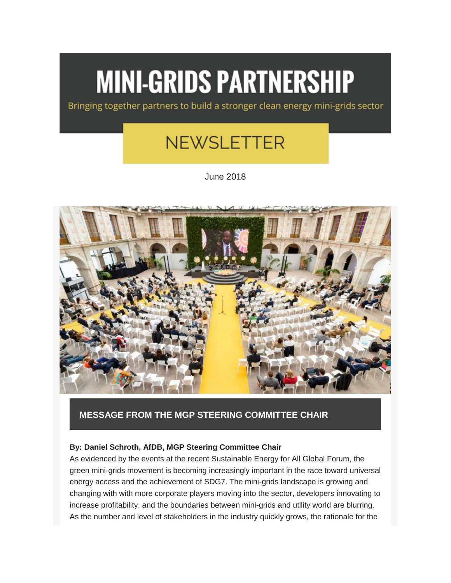# **MINI-GRIDS PARTNERSHIP**

Bringing together partners to build a stronger clean energy mini-grids sector

# **NEWSLETTER**

June 2018



## **[MESSAGE FROM THE MGP STEERING COMMITTEE CHAIR](http://energyaccess.org/news/recent-news/message-from-the-mgp-steering-committee-chair/)**

#### **By: Daniel Schroth, AfDB, MGP Steering Committee Chair**

As evidenced by the events at the recent Sustainable Energy for All Global Forum, the green mini-grids movement is becoming increasingly important in the race toward universal energy access and the achievement of SDG7. The mini-grids landscape is growing and changing with with more corporate players moving into the sector, developers innovating to increase profitability, and the boundaries between mini-grids and utility world are blurring. As the number and level of stakeholders in the industry quickly grows, the rationale for the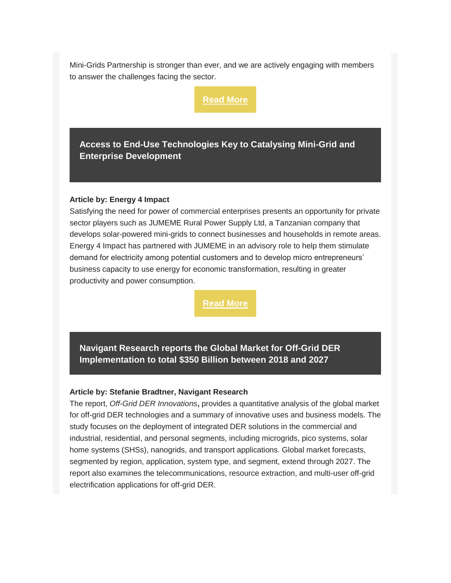Mini-Grids Partnership is stronger than ever, and we are actively engaging with members to answer the challenges facing the sector.

**[Read More](http://energyaccess.org/news/recent-news/message-from-the-mgp-steering-committee-chair/)**

**[Access to End-Use Technologies Key to Catalysing Mini-Grid and](http://energyaccess.org/news/recent-news/access-to-end-use-technologies-key-to-catalysing-mini-grid-and-enterprise-development/)  [Enterprise Development](http://energyaccess.org/news/recent-news/access-to-end-use-technologies-key-to-catalysing-mini-grid-and-enterprise-development/)**

#### **Article by: Energy 4 Impact**

Satisfying the need for power of commercial enterprises presents an opportunity for private sector players such as JUMEME Rural Power Supply Ltd, a Tanzanian company that develops solar-powered mini-grids to connect businesses and households in remote areas. Energy 4 Impact has partnered with JUMEME in an advisory role to help them stimulate demand for electricity among potential customers and to develop micro entrepreneurs' business capacity to use energy for economic transformation, resulting in greater productivity and power consumption.

**[Read More](http://energyaccess.org/news/recent-news/access-to-end-use-technologies-key-to-catalysing-mini-grid-and-enterprise-development/)**

**[Navigant Research reports the Global Market for Off-Grid DER](http://energyaccess.org/news/recent-news/navigant-research-report-finds-the-global-market-for-off-grid-der-implementation-is-expected-to-total-approximately-350-billion-between-2018-and-2027/)  Implementation to total [\\$350 Billion between 2018 and 2027](http://energyaccess.org/news/recent-news/navigant-research-report-finds-the-global-market-for-off-grid-der-implementation-is-expected-to-total-approximately-350-billion-between-2018-and-2027/)**

#### **Article by: Stefanie Bradtner, Navigant Research**

The report, *[Off-Grid DER Innovations](https://www.navigantresearch.com/research/off-grid-der-innovations)***[,](https://www.navigantresearch.com/research/off-grid-der-innovations)** provides a quantitative analysis of the global market for off-grid DER technologies and a summary of innovative uses and business models. The study focuses on the deployment of integrated DER solutions in the commercial and industrial, residential, and personal segments, including microgrids, pico systems, solar home systems (SHSs), nanogrids, and transport applications. Global market forecasts, segmented by region, application, system type, and segment, extend through 2027. The report also examines the telecommunications, resource extraction, and multi-user off-grid electrification applications for off-grid DER.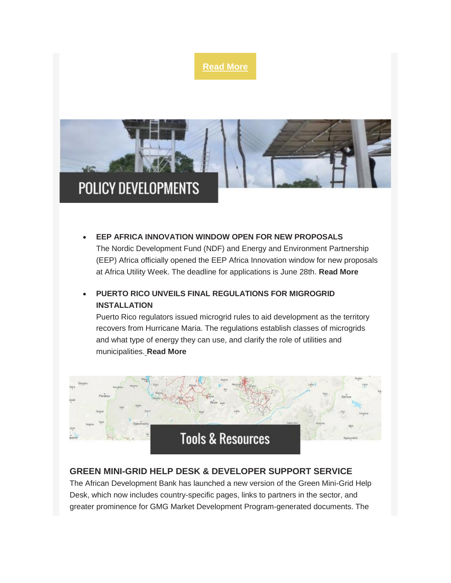

• **[EEP AFRICA INNOVATION WINDOW OPEN FOR NEW PROPOSALS](https://eepafrica.org/eep-africa-cfp14-goes-live-in-cape-town/)**

The Nordic Development Fund (NDF) and Energy and Environment Partnership (EEP) Africa officially opened the EEP Africa Innovation window for new proposals at Africa Utility Week. The deadline for applications is June 28th. **[Read More](https://eepafrica.org/eep-africa-cfp14-goes-live-in-cape-town/)**

# • **[PUERTO RICO UNVEILS FINAL REGULATIONS FOR MIGROGRID](http://energia.pr.gov/wp-content/uploads/2018/05/Resolution-Adoptation-of-Microgrid-Regulation-Final.pdf)  [INSTALLATION](http://energia.pr.gov/wp-content/uploads/2018/05/Resolution-Adoptation-of-Microgrid-Regulation-Final.pdf)**

Puerto Rico regulators issued microgrid rules to aid development as the territory recovers from Hurricane Maria. The regulations establish classes of microgrids and what type of energy they can use, and clarify the role of utilities and municipalities[.](http://energia.pr.gov/wp-content/uploads/2018/05/Resolution-Adoptation-of-Microgrid-Regulation-Final.pdf) **[Read More](http://energia.pr.gov/wp-content/uploads/2018/05/Resolution-Adoptation-of-Microgrid-Regulation-Final.pdf)**



## **[GREEN MINI-GRID HELP DESK & DEVELOPER SUPPORT SERVICE](http://greenminigrid.se4all-africa.org/)**

The African Development Bank has launched a new version of the Green Mini-Grid Help Desk, which now includes country-specific pages, links to partners in the sector, and greater prominence for GMG Market Development Program-generated documents. The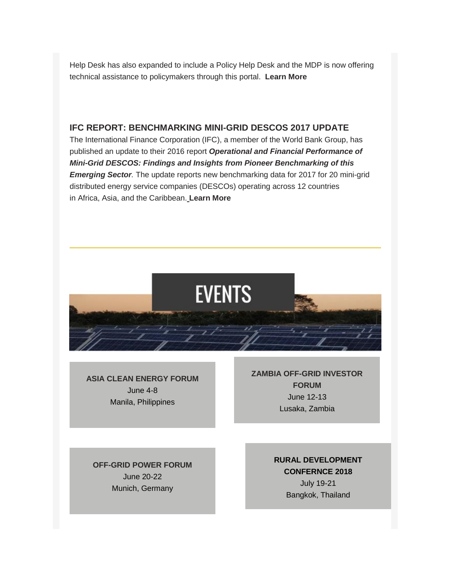Help Desk has also expanded to include a Policy Help Desk and the MDP is now offering technical assistance to policymakers through this portal. **[Learn More](http://greenminigrid.se4all-africa.org/)**

### **[IFC REPORT: BENCHMARKING MINI-GRID DESCOS 2017 UPDATE](https://gallery.mailchimp.com/39ef5953cb296ad051b58bd59/files/59c4d023-2094-49d8-bc71-9f96b9f5188f/20180516_Benchmarking_2.0_Final_to_Share.pdf)**

The International Finance Corporation (IFC), a member of the World Bank Group, has published an update to their 2016 report *[Operational and Financial Performance of](https://gallery.mailchimp.com/39ef5953cb296ad051b58bd59/files/101a92a2-4c61-46ac-b142-80df08f3375e/IFC_Minigrids_Benchmarking_Report_Single_Pages_January_2017.pdf)  [Mini-Grid DESCOS: Findings and Insights from Pioneer Benchmarking of this](https://gallery.mailchimp.com/39ef5953cb296ad051b58bd59/files/101a92a2-4c61-46ac-b142-80df08f3375e/IFC_Minigrids_Benchmarking_Report_Single_Pages_January_2017.pdf)  [Emerging Sector](https://gallery.mailchimp.com/39ef5953cb296ad051b58bd59/files/101a92a2-4c61-46ac-b142-80df08f3375e/IFC_Minigrids_Benchmarking_Report_Single_Pages_January_2017.pdf).* The update reports new benchmarking data for 2017 for 20 mini-grid distributed energy service companies (DESCOs) operating across 12 countries in Africa, Asia, and the Caribbean[.](https://gallery.mailchimp.com/39ef5953cb296ad051b58bd59/files/59c4d023-2094-49d8-bc71-9f96b9f5188f/20180516_Benchmarking_2.0_Final_to_Share.pdf) **[Learn More](https://gallery.mailchimp.com/39ef5953cb296ad051b58bd59/files/59c4d023-2094-49d8-bc71-9f96b9f5188f/20180516_Benchmarking_2.0_Final_to_Share.pdf)**



**[ASIA CLEAN ENERGY FORUM](http://www.asiacleanenergyforum.org/)** June 4-8 Manila, Philippines

**[ZAMBIA OFF-GRID INVESTOR](https://zambia-off-grid-investor-forum.b2match.io/home)  [FORUM](https://zambia-off-grid-investor-forum.b2match.io/home)** June 12-13 Lusaka, Zambia

**[OFF-GRID POWER FORUM](https://www.ruralelec.org/event-calendar/intersolar-europe-grid-power-forum-conference-exhibition)** June 20-22 Munich, Germany

**RURAL [DEVELOPMENT](http://www.rdconference.org/)  [CONFERNCE 2018](http://www.rdconference.org/)** July 19-21 Bangkok, Thailand